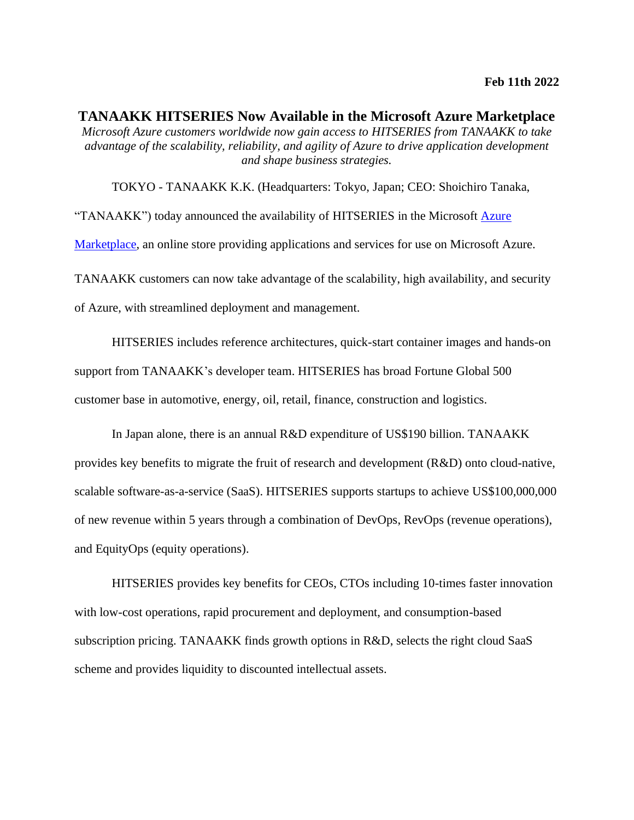**TANAAKK HITSERIES Now Available in the Microsoft Azure Marketplace**  *Microsoft Azure customers worldwide now gain access to HITSERIES from TANAAKK to take advantage of the scalability, reliability, and agility of Azure to drive application development and shape business strategies.* 

TOKYO - TANAAKK K.K. (Headquarters: Tokyo, Japan; CEO: Shoichiro Tanaka, "TANAAKK") today announced the availability of HITSERIES in the Microsoft **Azure** [Marketplace,](https://azure.microsoft.com/en-us/marketplace/) an online store providing applications and services for use on Microsoft Azure. TANAAKK customers can now take advantage of the scalability, high availability, and security of Azure, with streamlined deployment and management.

HITSERIES includes reference architectures, quick-start container images and hands-on support from TANAAKK's developer team. HITSERIES has broad Fortune Global 500 customer base in automotive, energy, oil, retail, finance, construction and logistics.

In Japan alone, there is an annual R&D expenditure of US\$190 billion. TANAAKK provides key benefits to migrate the fruit of research and development (R&D) onto cloud-native, scalable software-as-a-service (SaaS). HITSERIES supports startups to achieve US\$100,000,000 of new revenue within 5 years through a combination of DevOps, RevOps (revenue operations), and EquityOps (equity operations).

HITSERIES provides key benefits for CEOs, CTOs including 10-times faster innovation with low-cost operations, rapid procurement and deployment, and consumption-based subscription pricing. TANAAKK finds growth options in R&D, selects the right cloud SaaS scheme and provides liquidity to discounted intellectual assets.